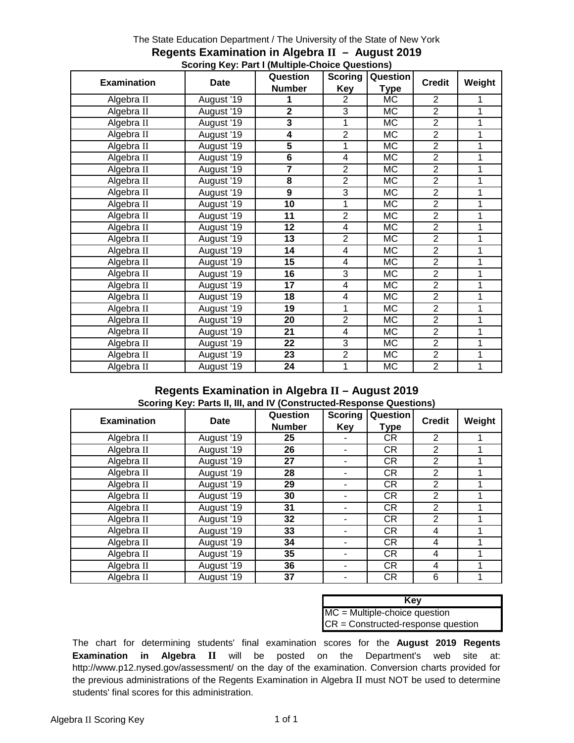# The State Education Department / The University of the State of New York **Regents Examination in Algebra II – August 2019 Scoring Key: Part I (Multiple-Choice Questions)**

|                    |             | Question<br><b>Scoring</b> |                         | Question               |                |        |
|--------------------|-------------|----------------------------|-------------------------|------------------------|----------------|--------|
| <b>Examination</b> | <b>Date</b> | <b>Number</b>              | Key                     | <b>Type</b>            | <b>Credit</b>  | Weight |
| Algebra II         | August '19  |                            | $\overline{2}$          | МC                     | $\overline{2}$ |        |
| Algebra II         | August '19  | 2                          | 3                       | МC                     | $\overline{2}$ |        |
| Algebra II         | August '19  | 3                          | 1                       | <b>MC</b>              | $\overline{2}$ |        |
| Algebra II         | August '19  | 4                          | $\overline{2}$          | <b>MC</b>              | $\overline{2}$ |        |
| Algebra II         | August '19  | 5                          | 1                       | <b>MC</b>              | $\overline{2}$ |        |
| Algebra II         | August '19  | 6                          | 4                       | <b>MC</b>              | $\overline{2}$ |        |
| Algebra II         | August '19  | 7                          | $\overline{2}$          | <b>MC</b>              | $\overline{2}$ |        |
| Algebra II         | August '19  | 8                          | $\overline{2}$          | <b>MC</b>              | $\overline{2}$ |        |
| Algebra II         | August '19  | 9                          | 3                       | MC                     | $\overline{2}$ |        |
| Algebra II         | August '19  | 10                         | 1                       | МC                     | $\overline{2}$ |        |
| Algebra II         | August '19  | 11                         | $\overline{2}$          | <b>MC</b>              | $\overline{2}$ |        |
| Algebra II         | August '19  | 12                         | $\overline{\mathbf{4}}$ | <b>MC</b>              | $\overline{2}$ |        |
| Algebra II         | August '19  | 13                         | $\overline{2}$          | МC                     | $\overline{2}$ |        |
| Algebra II         | August '19  | 14                         | 4                       | <b>MC</b>              | $\overline{2}$ |        |
| Algebra II         | August '19  | 15                         | 4                       | <b>MC</b>              | $\overline{2}$ |        |
| Algebra II         | August '19  | 16                         | 3                       | МC                     | $\overline{2}$ |        |
| Algebra II         | August '19  | 17                         | 4                       | <b>MC</b>              | $\overline{2}$ |        |
| Algebra II         | August '19  | 18                         | $\overline{\mathbf{4}}$ | MC                     | $\overline{2}$ |        |
| Algebra II         | August '19  | 19                         | 1                       | МC                     | $\overline{2}$ |        |
| Algebra II         | August '19  | 20                         | $\overline{2}$          | $\overline{\text{MC}}$ | $\overline{2}$ |        |
| Algebra II         | August '19  | 21                         | 4                       | MC                     | $\overline{2}$ |        |
| Algebra II         | August '19  | 22                         | 3                       | MC                     | $\overline{2}$ |        |
| Algebra II         | August '19  | 23                         | $\overline{2}$          | MC                     | $\overline{2}$ |        |
| Algebra II         | August '19  | 24                         | 1                       | MC                     | $\overline{2}$ |        |

# **Regents Examination in Algebra II – August 2019 Scoring Key: Parts II, III, and IV (Constructed-Response Questions)**

| <b>Examination</b> | <b>Date</b> | Question      | <b>Scoring</b> | Question  | <b>Credit</b>  | Weight |
|--------------------|-------------|---------------|----------------|-----------|----------------|--------|
|                    |             | <b>Number</b> | Key            | Type      |                |        |
| Algebra II         | August '19  | 25            | ۰              | <b>CR</b> | 2              |        |
| Algebra II         | August '19  | 26            |                | <b>CR</b> | $\overline{2}$ |        |
| Algebra II         | August '19  | 27            |                | <b>CR</b> | 2              |        |
| Algebra II         | August '19  | 28            |                | <b>CR</b> | $\overline{2}$ |        |
| Algebra II         | August '19  | 29            |                | <b>CR</b> | 2              |        |
| Algebra II         | August '19  | 30            |                | <b>CR</b> | 2              |        |
| Algebra II         | August '19  | 31            |                | <b>CR</b> | $\overline{2}$ |        |
| Algebra II         | August '19  | 32            |                | <b>CR</b> | $\overline{2}$ |        |
| Algebra II         | August '19  | 33            |                | <b>CR</b> | 4              |        |
| Algebra II         | August '19  | 34            |                | <b>CR</b> | 4              |        |
| Algebra II         | August '19  | 35            |                | <b>CR</b> | 4              |        |
| Algebra II         | August '19  | 36            |                | <b>CR</b> | 4              |        |
| Algebra II         | August '19  | 37            |                | <b>CR</b> | 6              |        |

| Kev                                  |
|--------------------------------------|
| $MC = Multiple-choice question$      |
| $CR = Constructed-response question$ |

The chart for determining students' final examination scores for the **August 2019 Regents Examination in Algebra II** will be posted on the Department's web site at: http://www.p12.nysed.gov/assessment/ on the day of the examination. Conversion charts provided for the previous administrations of the Regents Examination in Algebra II must NOT be used to determine students' final scores for this administration.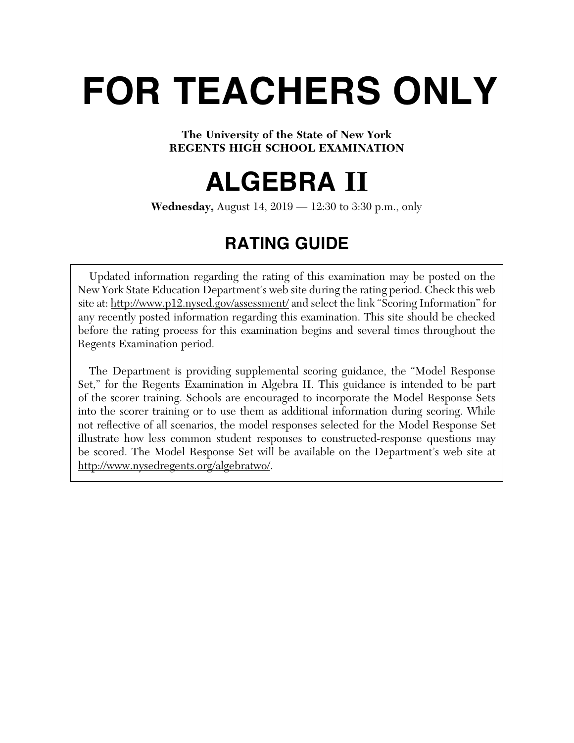# **FOR TEACHERS ONLY**

# **The University of the State of New York REGENTS HIGH SCHOOL EXAMINATION**

# **ALGEBRA II**

**Wednesday,** August 14, 2019 — 12:30 to 3:30 p.m., only

# **RATING GUIDE**

Updated information regarding the rating of this examination may be posted on the New York State Education Department's web site during the rating period. Check this web site at: http://www.p12.nysed.gov/assessment/ and select the link "Scoring Information" for any recently posted information regarding this examination. This site should be checked before the rating process for this examination begins and several times throughout the Regents Examination period.

 The Department is providing supplemental scoring guidance, the "Model Response Set," for the Regents Examination in Algebra II. This guidance is intended to be part of the scorer training. Schools are encouraged to incorporate the Model Response Sets into the scorer training or to use them as additional information during scoring. While not reflective of all scenarios, the model responses selected for the Model Response Set illustrate how less common student responses to constructed-response questions may be scored. The Model Response Set will be available on the Department's web site at http://www.nysedregents.org/algebratwo/.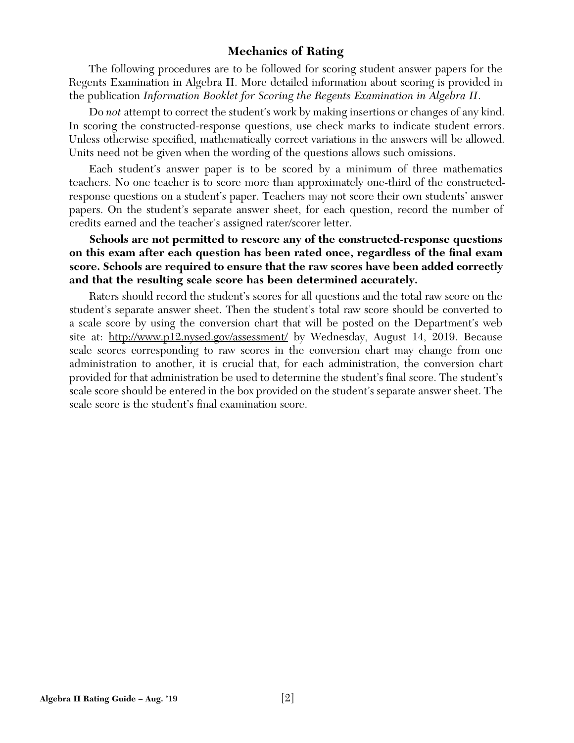# **Mechanics of Rating**

The following procedures are to be followed for scoring student answer papers for the Regents Examination in Algebra II. More detailed information about scoring is provided in the publication *Information Booklet for Scoring the Regents Examination in Algebra II*.

Do *not* attempt to correct the student's work by making insertions or changes of any kind. In scoring the constructed-response questions, use check marks to indicate student errors. Unless otherwise specified, mathematically correct variations in the answers will be allowed. Units need not be given when the wording of the questions allows such omissions.

Each student's answer paper is to be scored by a minimum of three mathematics teachers. No one teacher is to score more than approximately one-third of the constructedresponse questions on a student's paper. Teachers may not score their own students' answer papers. On the student's separate answer sheet, for each question, record the number of credits earned and the teacher's assigned rater/scorer letter.

**Schools are not permitted to rescore any of the constructed-response questions on this exam after each question has been rated once, regardless of the final exam score. Schools are required to ensure that the raw scores have been added correctly and that the resulting scale score has been determined accurately.**

Raters should record the student's scores for all questions and the total raw score on the student's separate answer sheet. Then the student's total raw score should be converted to a scale score by using the conversion chart that will be posted on the Department's web site at: http://www.p12.nysed.gov/assessment/ by Wednesday, August 14, 2019. Because scale scores corresponding to raw scores in the conversion chart may change from one administration to another, it is crucial that, for each administration, the conversion chart provided for that administration be used to determine the student's final score. The student's scale score should be entered in the box provided on the student's separate answer sheet. The scale score is the student's final examination score.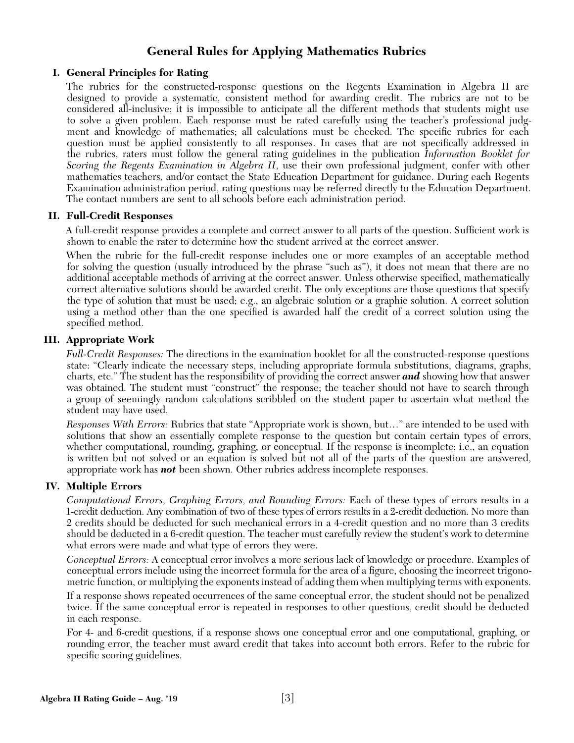# **General Rules for Applying Mathematics Rubrics**

# **I. General Principles for Rating**

The rubrics for the constructed-response questions on the Regents Examination in Algebra II are designed to provide a systematic, consistent method for awarding credit. The rubrics are not to be considered all-inclusive; it is impossible to anticipate all the different methods that students might use to solve a given problem. Each response must be rated carefully using the teacher's professional judgment and knowledge of mathematics; all calculations must be checked. The specific rubrics for each question must be applied consistently to all responses. In cases that are not specifically addressed in the rubrics, raters must follow the general rating guidelines in the publication *Information Booklet for Scoring the Regents Examination in Algebra II*, use their own professional judgment, confer with other mathematics teachers, and/or contact the State Education Department for guidance. During each Regents Examination administration period, rating questions may be referred directly to the Education Department. The contact numbers are sent to all schools before each administration period.

# **II. Full-Credit Responses**

A full-credit response provides a complete and correct answer to all parts of the question. Sufficient work is shown to enable the rater to determine how the student arrived at the correct answer.

When the rubric for the full-credit response includes one or more examples of an acceptable method for solving the question (usually introduced by the phrase "such as"), it does not mean that there are no additional acceptable methods of arriving at the correct answer. Unless otherwise specified, mathematically correct alternative solutions should be awarded credit. The only exceptions are those questions that specify the type of solution that must be used; e.g., an algebraic solution or a graphic solution. A correct solution using a method other than the one specified is awarded half the credit of a correct solution using the specified method.

# **III. Appropriate Work**

*Full-Credit Responses:* The directions in the examination booklet for all the constructed-response questions state: "Clearly indicate the necessary steps, including appropriate formula substitutions, diagrams, graphs, charts, etc." The student has the responsibility of providing the correct answer *and* showing how that answer was obtained. The student must "construct" the response; the teacher should not have to search through a group of seemingly random calculations scribbled on the student paper to ascertain what method the student may have used.

*Responses With Errors:* Rubrics that state "Appropriate work is shown, but…" are intended to be used with solutions that show an essentially complete response to the question but contain certain types of errors, whether computational, rounding, graphing, or conceptual. If the response is incomplete; i.e., an equation is written but not solved or an equation is solved but not all of the parts of the question are answered, appropriate work has *not* been shown. Other rubrics address incomplete responses.

# **IV. Multiple Errors**

*Computational Errors, Graphing Errors, and Rounding Errors:* Each of these types of errors results in a 1-credit deduction. Any combination of two of these types of errors results in a 2-credit deduction. No more than 2 credits should be deducted for such mechanical errors in a 4-credit question and no more than 3 credits should be deducted in a 6-credit question. The teacher must carefully review the student's work to determine what errors were made and what type of errors they were.

*Conceptual Errors:* A conceptual error involves a more serious lack of knowledge or procedure. Examples of conceptual errors include using the incorrect formula for the area of a figure, choosing the incorrect trigonometric function, or multiplying the exponents instead of adding them when multiplying terms with exponents.

If a response shows repeated occurrences of the same conceptual error, the student should not be penalized twice. If the same conceptual error is repeated in responses to other questions, credit should be deducted in each response.

For 4- and 6-credit questions, if a response shows one conceptual error and one computational, graphing, or rounding error, the teacher must award credit that takes into account both errors. Refer to the rubric for specific scoring guidelines.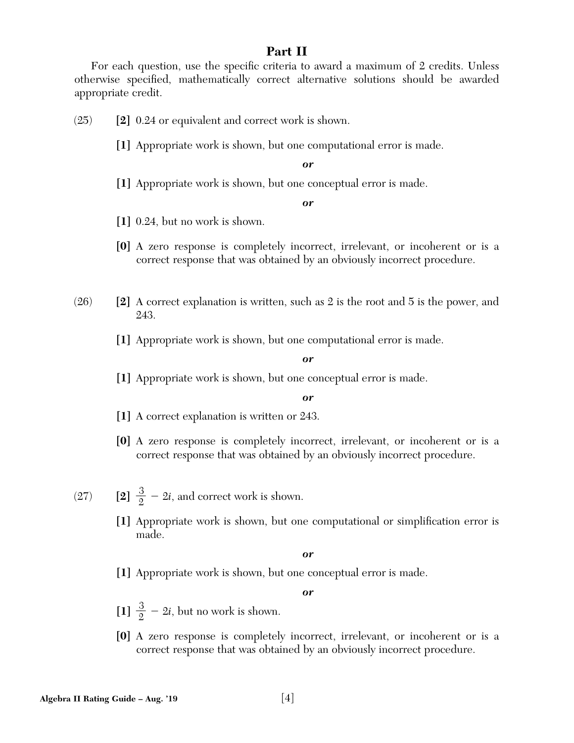# **Part II**

For each question, use the specific criteria to award a maximum of 2 credits. Unless otherwise specified, mathematically correct alternative solutions should be awarded appropriate credit.

(25) **[2]** 0.24 or equivalent and correct work is shown.

**[1]** Appropriate work is shown, but one computational error is made.

*or*

**[1]** Appropriate work is shown, but one conceptual error is made.

*or*

**[1]** 0.24, but no work is shown.

- **[0]** A zero response is completely incorrect, irrelevant, or incoherent or is a correct response that was obtained by an obviously incorrect procedure.
- (26) **[2]** A correct explanation is written, such as 2 is the root and 5 is the power, and 243.

**[1]** Appropriate work is shown, but one computational error is made.

*or*

**[1]** Appropriate work is shown, but one conceptual error is made.

# *or*

- **[1]** A correct explanation is written or 243.
- **[0]** A zero response is completely incorrect, irrelevant, or incoherent or is a correct response that was obtained by an obviously incorrect procedure.
- (27) **[2]**  $\frac{3}{2} 2i$ , and correct work is shown.
	- [1] Appropriate work is shown, but one computational or simplification error is made.

*or*

**[1]** Appropriate work is shown, but one conceptual error is made.

- $\left[1\right] \frac{3}{2} 2i$ , but no work is shown.
- **[0]** A zero response is completely incorrect, irrelevant, or incoherent or is a correct response that was obtained by an obviously incorrect procedure.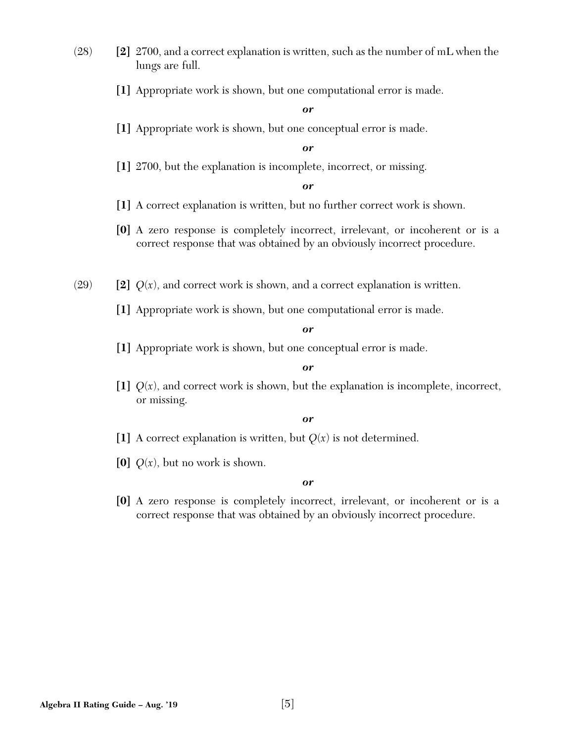- (28) **[2]** 2700, and a correct explanation is written, such as the number of mL when the lungs are full.
	- **[1]** Appropriate work is shown, but one computational error is made.

**[1]** Appropriate work is shown, but one conceptual error is made.

# *or*

**[1]** 2700, but the explanation is incomplete, incorrect, or missing.

*or*

- **[1]** A correct explanation is written, but no further correct work is shown.
- **[0]** A zero response is completely incorrect, irrelevant, or incoherent or is a correct response that was obtained by an obviously incorrect procedure.
- (29)  $\left[2\right]$   $Q(x)$ , and correct work is shown, and a correct explanation is written.
	- **[1]** Appropriate work is shown, but one computational error is made.

#### *or*

**[1]** Appropriate work is shown, but one conceptual error is made.

# *or*

[1]  $Q(x)$ , and correct work is shown, but the explanation is incomplete, incorrect, or missing.

## *or*

- [1] A correct explanation is written, but  $Q(x)$  is not determined.
- **[0]**  $Q(x)$ , but no work is shown.

#### *or*

**[0]** A zero response is completely incorrect, irrelevant, or incoherent or is a correct response that was obtained by an obviously incorrect procedure.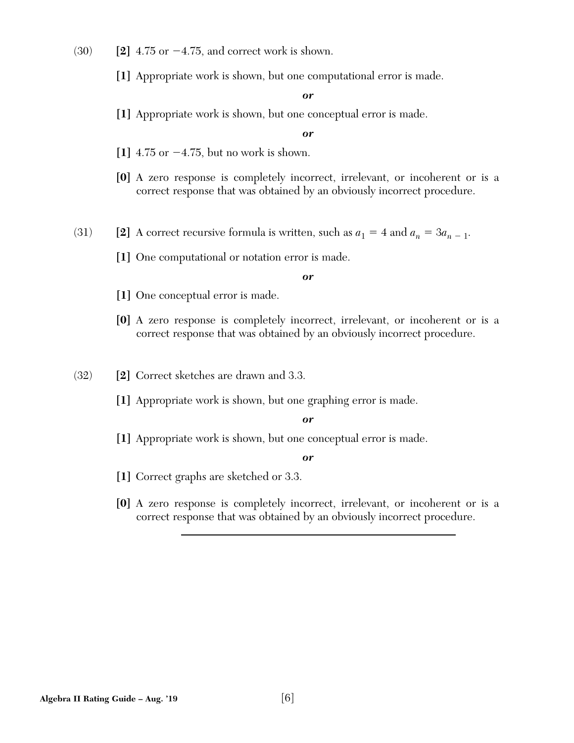- $(30)$  **[2]** 4.75 or  $-4.75$ , and correct work is shown.
	- **[1]** Appropriate work is shown, but one computational error is made.

**[1]** Appropriate work is shown, but one conceptual error is made.

*or*

- **[1]** 4.75 or -4.75, but no work is shown.
- **[0]** A zero response is completely incorrect, irrelevant, or incoherent or is a correct response that was obtained by an obviously incorrect procedure.
- (31) **[2]** A correct recursive formula is written, such as  $a_1 = 4$  and  $a_n = 3a_{n-1}$ .
	- **[1]** One computational or notation error is made.

#### *or*

- **[1]** One conceptual error is made.
- **[0]** A zero response is completely incorrect, irrelevant, or incoherent or is a correct response that was obtained by an obviously incorrect procedure.
- (32) **[2]** Correct sketches are drawn and 3.3.
	- **[1]** Appropriate work is shown, but one graphing error is made.

#### *or*

**[1]** Appropriate work is shown, but one conceptual error is made.

- **[1]** Correct graphs are sketched or 3.3.
- **[0]** A zero response is completely incorrect, irrelevant, or incoherent or is a correct response that was obtained by an obviously incorrect procedure.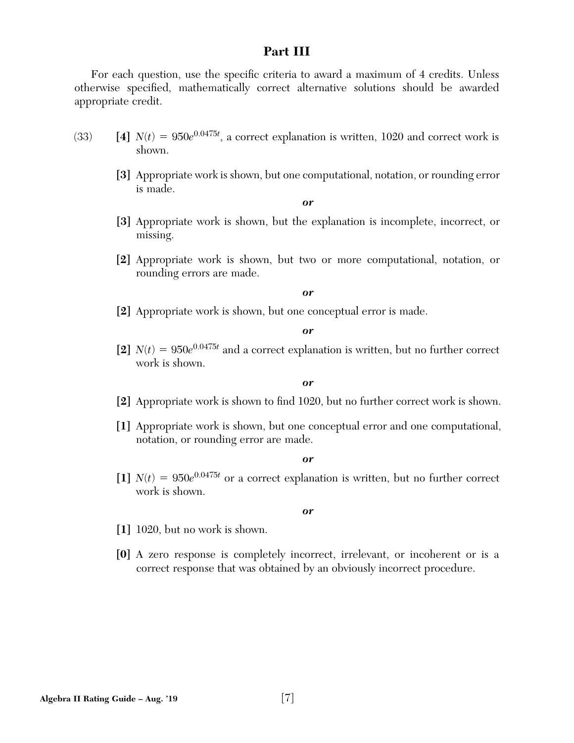# **Part III**

For each question, use the specific criteria to award a maximum of 4 credits. Unless otherwise specified, mathematically correct alternative solutions should be awarded appropriate credit.

- (33) **[4]**  $N(t) = 950e^{0.0475t}$ , a correct explanation is written, 1020 and correct work is shown.
	- **[3]** Appropriate work is shown, but one computational, notation, or rounding error is made.

*or*

- **[3]** Appropriate work is shown, but the explanation is incomplete, incorrect, or missing.
- **[2]** Appropriate work is shown, but two or more computational, notation, or rounding errors are made.

*or*

**[2]** Appropriate work is shown, but one conceptual error is made.

*or*

[2]  $N(t) = 950e^{0.0475t}$  and a correct explanation is written, but no further correct work is shown.

*or*

- [2] Appropriate work is shown to find 1020, but no further correct work is shown.
- **[1]** Appropriate work is shown, but one conceptual error and one computational, notation, or rounding error are made.

*or*

[1]  $N(t) = 950e^{0.0475t}$  or a correct explanation is written, but no further correct work is shown.

- **[1]** 1020, but no work is shown.
- **[0]** A zero response is completely incorrect, irrelevant, or incoherent or is a correct response that was obtained by an obviously incorrect procedure.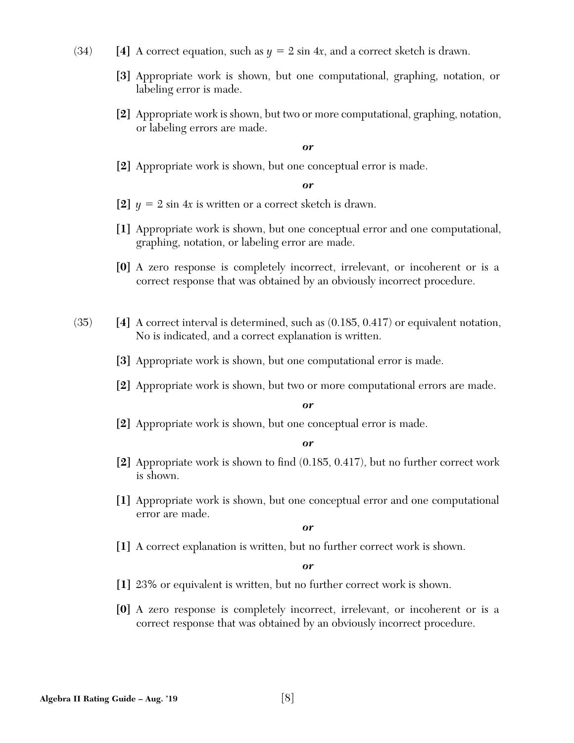- (34) **[4]** A correct equation, such as  $y = 2 \sin 4x$ , and a correct sketch is drawn.
	- **[3]** Appropriate work is shown, but one computational, graphing, notation, or labeling error is made.
	- **[2]** Appropriate work is shown, but two or more computational, graphing, notation, or labeling errors are made.

**[2]** Appropriate work is shown, but one conceptual error is made.

# *or*

- [2]  $y = 2 \sin 4x$  is written or a correct sketch is drawn.
- **[1]** Appropriate work is shown, but one conceptual error and one computational, graphing, notation, or labeling error are made.
- **[0]** A zero response is completely incorrect, irrelevant, or incoherent or is a correct response that was obtained by an obviously incorrect procedure.
- (35) **[4]** A correct interval is determined, such as (0.185, 0.417) or equivalent notation, No is indicated, and a correct explanation is written.
	- **[3]** Appropriate work is shown, but one computational error is made.
	- **[2]** Appropriate work is shown, but two or more computational errors are made.

#### *or*

**[2]** Appropriate work is shown, but one conceptual error is made.

#### *or*

- **[2]** Appropriate work is shown to find  $(0.185, 0.417)$ , but no further correct work is shown.
- **[1]** Appropriate work is shown, but one conceptual error and one computational error are made.

*or*

**[1]** A correct explanation is written, but no further correct work is shown.

- **[1]** 23% or equivalent is written, but no further correct work is shown.
- **[0]** A zero response is completely incorrect, irrelevant, or incoherent or is a correct response that was obtained by an obviously incorrect procedure.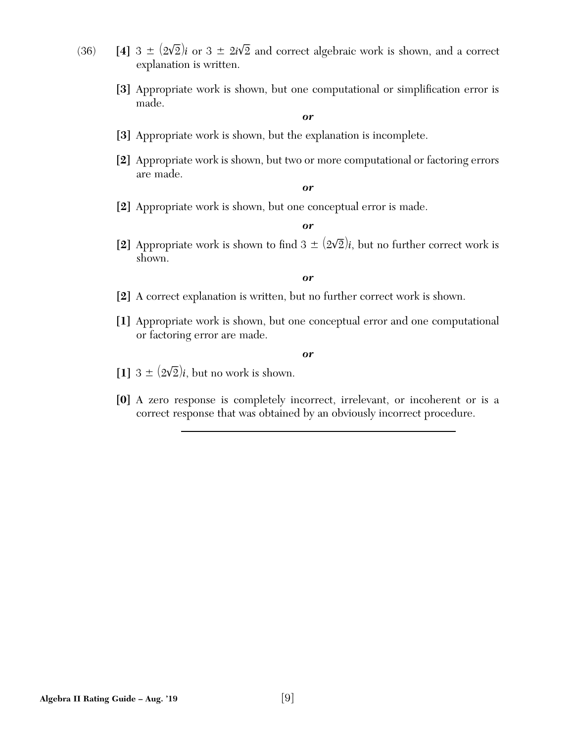- $(36)$  **[4]**  $3 \pm (2\sqrt{2})$  $\overline{a}$  $\overline{2}$ *)i* or 3  $\pm$  2*i* $\sqrt{2}$  $\overline{a}$ 2 and correct algebraic work is shown, and a correct explanation is written.
	- [3] Appropriate work is shown, but one computational or simplification error is made.

- **[3]** Appropriate work is shown, but the explanation is incomplete.
- **[2]** Appropriate work is shown, but two or more computational or factoring errors are made.

*or*

**[2]** Appropriate work is shown, but one conceptual error is made.

*or*

**[2]** Appropriate work is shown to find  $3 \pm (2\sqrt{2})$  $\overline{a}$  $\overline{2}/i$ , but no further correct work is shown.

*or*

- **[2]** A correct explanation is written, but no further correct work is shown.
- **[1]** Appropriate work is shown, but one conceptual error and one computational or factoring error are made.

- $[1]$  3  $\pm$   $(2\sqrt{ }$  $\overline{a}$  $\overline{2}/i$ , but no work is shown.
- **[0]** A zero response is completely incorrect, irrelevant, or incoherent or is a correct response that was obtained by an obviously incorrect procedure.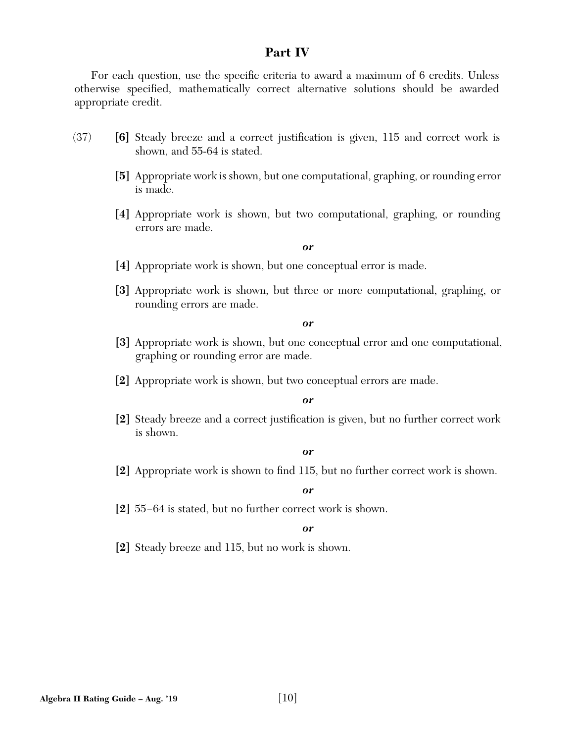# **Part IV**

For each question, use the specific criteria to award a maximum of 6 credits. Unless otherwise specified, mathematically correct alternative solutions should be awarded appropriate credit.

- (37) **[6]** Steady breeze and a correct justification is given, 115 and correct work is shown, and 55-64 is stated.
	- **[5]** Appropriate work is shown, but one computational, graphing, or rounding error is made.
	- **[4]** Appropriate work is shown, but two computational, graphing, or rounding errors are made.

## *or*

- **[4]** Appropriate work is shown, but one conceptual error is made.
- **[3]** Appropriate work is shown, but three or more computational, graphing, or rounding errors are made.

#### *or*

- **[3]** Appropriate work is shown, but one conceptual error and one computational, graphing or rounding error are made.
- **[2]** Appropriate work is shown, but two conceptual errors are made.

#### *or*

**[2]** Steady breeze and a correct justification is given, but no further correct work is shown.

#### *or*

**[2]** Appropriate work is shown to find 115, but no further correct work is shown.

# *or*

**[2]** 55−64 is stated, but no further correct work is shown.

#### *or*

**[2]** Steady breeze and 115, but no work is shown.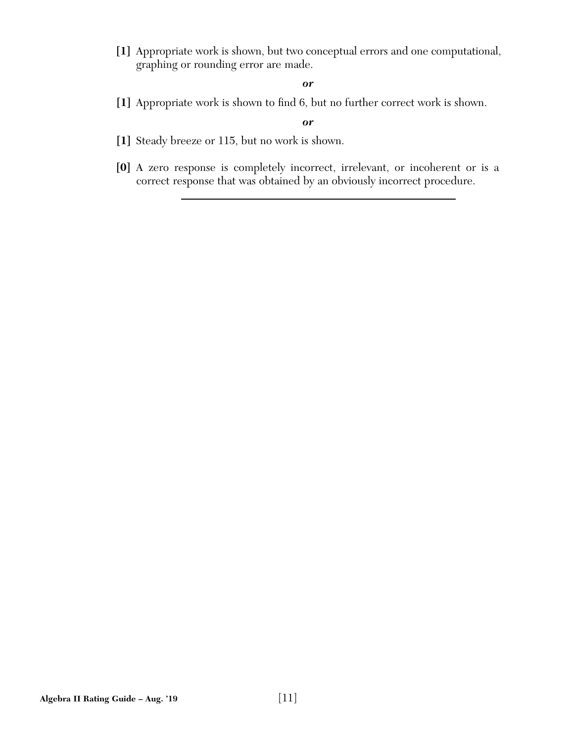**[1]** Appropriate work is shown, but two conceptual errors and one computational, graphing or rounding error are made.

## *or*

[1] Appropriate work is shown to find 6, but no further correct work is shown.

- **[1]** Steady breeze or 115, but no work is shown.
- **[0]** A zero response is completely incorrect, irrelevant, or incoherent or is a correct response that was obtained by an obviously incorrect procedure.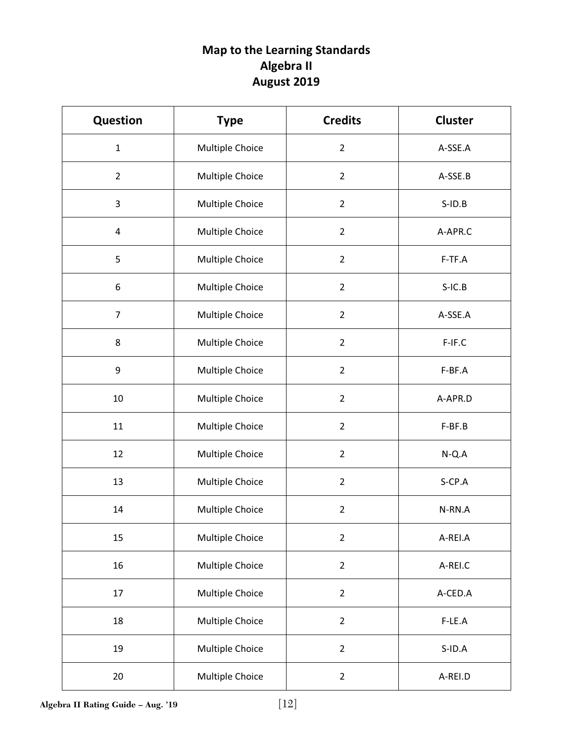# Map to the Learning Standards Algebra II August 2019

| <b>Question</b> | <b>Type</b>     | <b>Credits</b> | <b>Cluster</b> |  |
|-----------------|-----------------|----------------|----------------|--|
| $\mathbf{1}$    | Multiple Choice | $\overline{2}$ | A-SSE.A        |  |
| $\overline{2}$  | Multiple Choice | $\overline{2}$ | A-SSE.B        |  |
| 3               | Multiple Choice | $\overline{2}$ | $S$ -ID. $B$   |  |
| $\overline{4}$  | Multiple Choice | $\overline{2}$ | A-APR.C        |  |
| 5               | Multiple Choice | $\overline{2}$ | F-TF.A         |  |
| 6               | Multiple Choice | $\overline{2}$ | $S-IC.B$       |  |
| $\overline{7}$  | Multiple Choice | $\overline{2}$ | A-SSE.A        |  |
| 8               | Multiple Choice | $\overline{2}$ | F-IF.C         |  |
| 9               | Multiple Choice | $\overline{2}$ | F-BF.A         |  |
| 10              | Multiple Choice | $\overline{2}$ | A-APR.D        |  |
| 11              | Multiple Choice | $\overline{2}$ | F-BF.B         |  |
| 12              | Multiple Choice | $\overline{2}$ | $N-Q.A$        |  |
| 13              | Multiple Choice | $\overline{2}$ | S-CP.A         |  |
| 14              | Multiple Choice | $\overline{2}$ | N-RN.A         |  |
| 15              | Multiple Choice | $\overline{2}$ | A-REI.A        |  |
| 16              | Multiple Choice | $\overline{2}$ | A-REI.C        |  |
| 17              | Multiple Choice | $\overline{2}$ | A-CED.A        |  |
| 18              | Multiple Choice | $\overline{2}$ | F-LE.A         |  |
| 19              | Multiple Choice | $\overline{2}$ | S-ID.A         |  |
| 20              | Multiple Choice | $\overline{2}$ | A-REI.D        |  |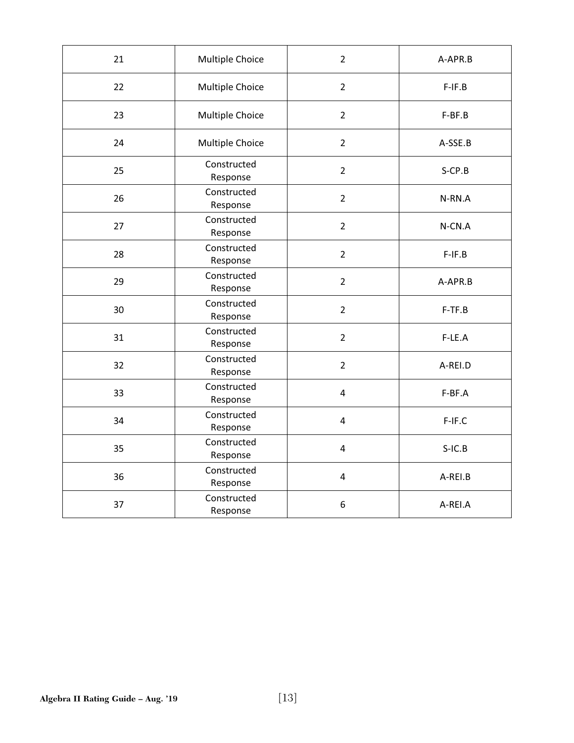| 21 | Multiple Choice         | $\overline{2}$          | A-APR.B   |  |
|----|-------------------------|-------------------------|-----------|--|
| 22 | Multiple Choice         | $\overline{2}$          | $F-IF.B$  |  |
| 23 | Multiple Choice         | $\overline{2}$          | F-BF.B    |  |
| 24 | Multiple Choice         | $\overline{2}$          | A-SSE.B   |  |
| 25 | Constructed<br>Response | $\overline{2}$          | $S$ -CP.B |  |
| 26 | Constructed<br>Response | $\overline{2}$          | N-RN.A    |  |
| 27 | Constructed<br>Response | $\overline{2}$          | N-CN.A    |  |
| 28 | Constructed<br>Response | $\overline{2}$          | $F-IF.B$  |  |
| 29 | Constructed<br>Response | $\overline{2}$          | A-APR.B   |  |
| 30 | Constructed<br>Response | $\overline{2}$          | $F-TF.B$  |  |
| 31 | Constructed<br>Response | $\overline{2}$          | $F-LE.A$  |  |
| 32 | Constructed<br>Response | $\overline{2}$          | A-REI.D   |  |
| 33 | Constructed<br>Response | 4                       | F-BF.A    |  |
| 34 | Constructed<br>Response | $\overline{\mathbf{4}}$ | F-IF.C    |  |
| 35 | Constructed<br>Response | 4                       | $S-IC.B$  |  |
| 36 | Constructed<br>Response | $\overline{\mathbf{4}}$ | A-REI.B   |  |
| 37 | Constructed<br>Response | 6                       | A-REI.A   |  |